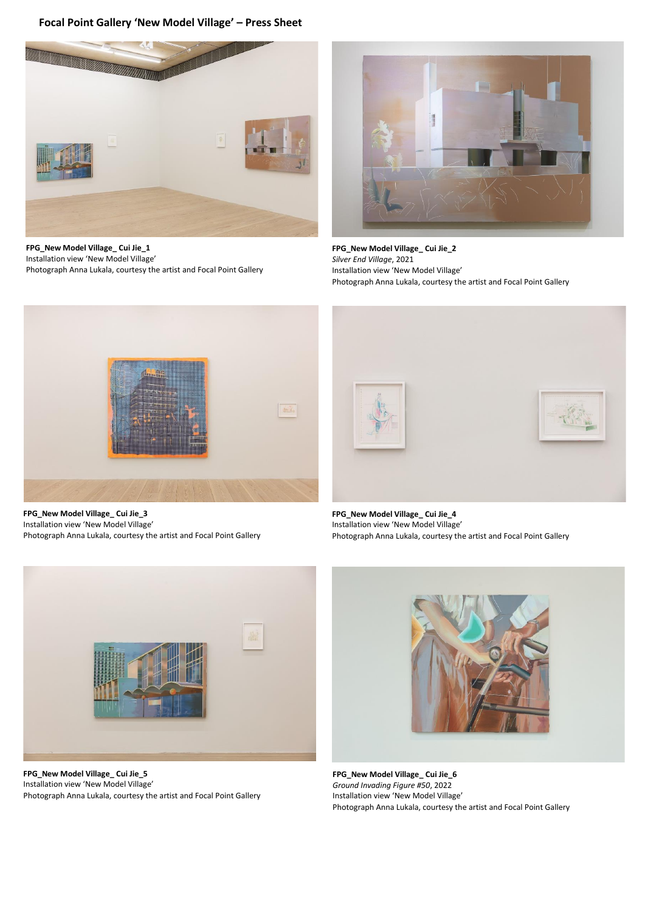## **Focal Point Gallery 'New Model Village' – Press Sheet**



**FPG\_New Model Village\_ Cui Jie\_1** Installation view 'New Model Village' Photograph Anna Lukala, courtesy the artist and Focal Point Gallery



**FPG\_New Model Village\_ Cui Jie\_2** *Silver End Village*, 2021 Installation view 'New Model Village' Photograph Anna Lukala, courtesy the artist and Focal Point Gallery



**FPG\_New Model Village\_ Cui Jie\_3** Installation view 'New Model Village' Photograph Anna Lukala, courtesy the artist and Focal Point Gallery



**FPG\_New Model Village\_ Cui Jie\_4** Installation view 'New Model Village' Photograph Anna Lukala, courtesy the artist and Focal Point Gallery



**FPG\_New Model Village\_ Cui Jie\_5** Installation view 'New Model Village' Photograph Anna Lukala, courtesy the artist and Focal Point Gallery



**FPG\_New Model Village\_ Cui Jie\_6** *Ground Invading Figure #50*, 2022 Installation view 'New Model Village' Photograph Anna Lukala, courtesy the artist and Focal Point Gallery